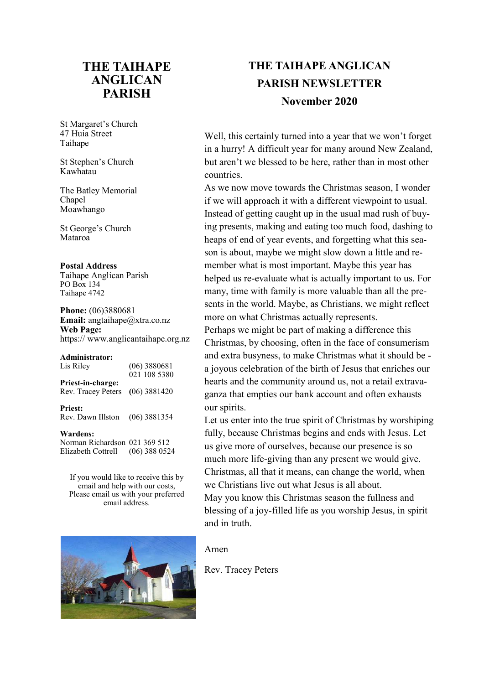# **THE TAIHAPE ANGLICAN PARISH**

St Margaret's Church 47 Huia Street Taihape

St Stephen's Church Kawhatau

The Batley Memorial Chapel Moawhango

St George's Church Mataroa

#### **Postal Address**

Taihape Anglican Parish PO Box 134 Taihape 4742

**Phone:** (06)3880681 **Email:** angtaihape@xtra.co.nz **Web Page:**  https:// www.anglicantaihape.org.nz

| Administrator:     |                |
|--------------------|----------------|
| Lis Riley          | $(06)$ 3880681 |
|                    | 021 108 5380   |
| Priest-in-charge:  |                |
| Rev. Tracey Peters | $(06)$ 3881420 |
|                    |                |
| <b>Priest:</b>     |                |
| Rev. Dawn Illston  | $(06)$ 3881354 |

#### **Wardens:**

Norman Richardson 021 369 512 Elizabeth Cottrell (06) 388 0524

If you would like to receive this by email and help with our costs, Please email us with your preferred email address.



# **THE TAIHAPE ANGLICAN PARISH NEWSLETTER November 2020**

Well, this certainly turned into a year that we won't forget in a hurry! A difficult year for many around New Zealand, but aren't we blessed to be here, rather than in most other countries.

As we now move towards the Christmas season, I wonder if we will approach it with a different viewpoint to usual. Instead of getting caught up in the usual mad rush of buying presents, making and eating too much food, dashing to heaps of end of year events, and forgetting what this season is about, maybe we might slow down a little and remember what is most important. Maybe this year has helped us re-evaluate what is actually important to us. For many, time with family is more valuable than all the presents in the world. Maybe, as Christians, we might reflect more on what Christmas actually represents. Perhaps we might be part of making a difference this Christmas, by choosing, often in the face of consumerism and extra busyness, to make Christmas what it should be a joyous celebration of the birth of Jesus that enriches our hearts and the community around us, not a retail extravaganza that empties our bank account and often exhausts our spirits.

Let us enter into the true spirit of Christmas by worshiping fully, because Christmas begins and ends with Jesus. Let us give more of ourselves, because our presence is so much more life-giving than any present we would give. Christmas, all that it means, can change the world, when we Christians live out what Jesus is all about. May you know this Christmas season the fullness and blessing of a joy-filled life as you worship Jesus, in spirit and in truth.

#### Amen

Rev. Tracey Peters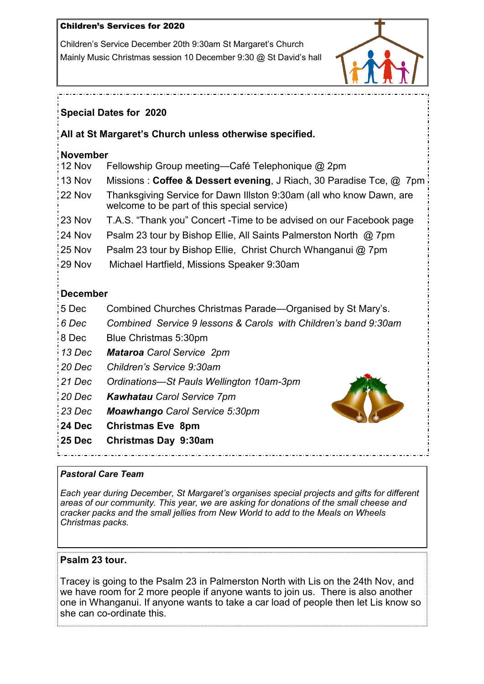## Children's Services for 2020

Children's Service December 20th 9:30am St Margaret's Church Mainly Music Christmas session 10 December 9:30 @ St David's hall



## **Special Dates for 2020**

## **All at St Margaret's Church unless otherwise specified.**

## **November**

| 12 Nov |  | Fellowship Group meeting—Café Telephonique @ 2pm |  |  |
|--------|--|--------------------------------------------------|--|--|
|--------|--|--------------------------------------------------|--|--|

- 13 Nov Missions : **Coffee & Dessert evening**, J Riach, 30 Paradise Tce, @ 7pm
- 22 Nov Thanksgiving Service for Dawn Illston 9:30am (all who know Dawn, are welcome to be part of this special service)
- 23 Nov T.A.S. "Thank you" Concert -Time to be advised on our Facebook page
- 24 Nov Psalm 23 tour by Bishop Ellie, All Saints Palmerston North @ 7pm
- 25 Nov Psalm 23 tour by Bishop Ellie, Christ Church Whanganui @ 7pm
- 29 Nov Michael Hartfield, Missions Speaker 9:30am

# **December**

- 5 Dec Combined Churches Christmas Parade—Organised by St Mary's.
- *6 Dec Combined Service 9 lessons & Carols with Children's band 9:30am*
- 8 Dec Blue Christmas 5:30pm
- *13 Dec Mataroa Carol Service 2pm*
- *20 Dec Children's Service 9:30am*
- *21 Dec Ordinations—St Pauls Wellington 10am-3pm*
- *20 Dec Kawhatau Carol Service 7pm*
- *23 Dec Moawhango Carol Service 5:30pm*
- **24 Dec Christmas Eve 8pm**
- **25 Dec Christmas Day 9:30am**



## *Pastoral Care Team*

*Each year during December, St Margaret's organises special projects and gifts for different areas of our community. This year, we are asking for donations of the small cheese and cracker packs and the small jellies from New World to add to the Meals on Wheels Christmas packs.*

## **Psalm 23 tour.**

Tracey is going to the Psalm 23 in Palmerston North with Lis on the 24th Nov, and we have room for 2 more people if anyone wants to join us. There is also another one in Whanganui. If anyone wants to take a car load of people then let Lis know so she can co-ordinate this.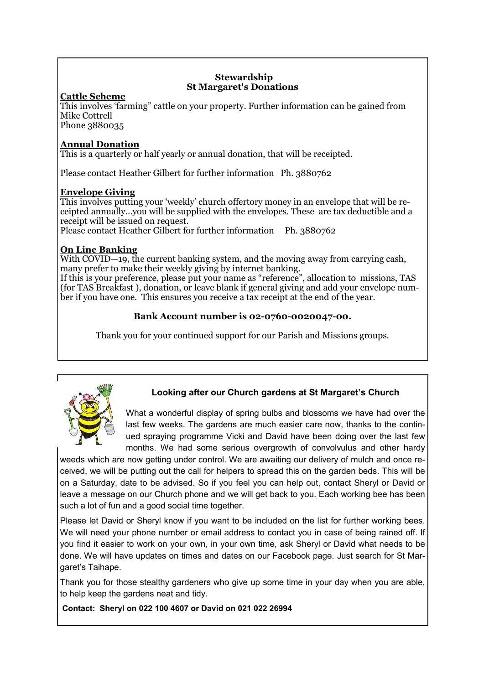#### **Stewardship St Margaret's Donations**

## **Cattle Scheme**

This involves "farming" cattle on your property. Further information can be gained from Mike Cottrell

Phone 3880035

### **Annual Donation**

This is a quarterly or half yearly or annual donation, that will be receipted.

Please contact Heather Gilbert for further information Ph. 3880762

### **Envelope Giving**

This involves putting your "weekly" church offertory money in an envelope that will be receipted annually…you will be supplied with the envelopes. These are tax deductible and a receipt will be issued on request.

Please contact Heather Gilbert for further information Ph. 3880762

## **On Line Banking**

With COVID—19, the current banking system, and the moving away from carrying cash, many prefer to make their weekly giving by internet banking.

If this is your preference, please put your name as "reference", allocation to missions, TAS (for TAS Breakfast ), donation, or leave blank if general giving and add your envelope number if you have one. This ensures you receive a tax receipt at the end of the year.

## **Bank Account number is 02-0760-0020047-00.**

Thank you for your continued support for our Parish and Missions groups.



## **Looking after our Church gardens at St Margaret's Church**

What a wonderful display of spring bulbs and blossoms we have had over the last few weeks. The gardens are much easier care now, thanks to the continued spraying programme Vicki and David have been doing over the last few months. We had some serious overgrowth of convolvulus and other hardy

weeds which are now getting under control. We are awaiting our delivery of mulch and once received, we will be putting out the call for helpers to spread this on the garden beds. This will be on a Saturday, date to be advised. So if you feel you can help out, contact Sheryl or David or leave a message on our Church phone and we will get back to you. Each working bee has been such a lot of fun and a good social time together.

Please let David or Sheryl know if you want to be included on the list for further working bees. We will need your phone number or email address to contact you in case of being rained off. If you find it easier to work on your own, in your own time, ask Sheryl or David what needs to be done. We will have updates on times and dates on our Facebook page. Just search for St Margaret's Taihape.

Thank you for those stealthy gardeners who give up some time in your day when you are able, to help keep the gardens neat and tidy.

 **Contact: Sheryl on 022 100 4607 or David on 021 022 26994**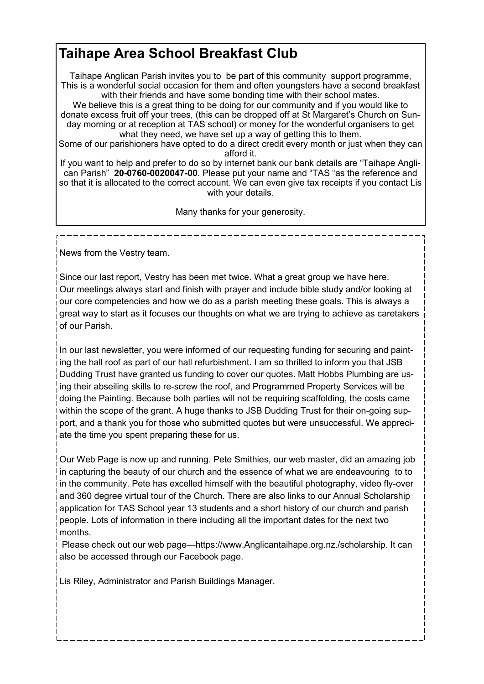# **Taihape Area School Breakfast Club**

Taihape Anglican Parish invites you to be part of this community support programme, This is a wonderful social occasion for them and often youngsters have a second breakfast with their friends and have some bonding time with their school mates.

We believe this is a great thing to be doing for our community and if you would like to donate excess fruit off your trees, (this can be dropped off at St Margaret's Church on Sunday morning or at reception at TAS school) or money for the wonderful organisers to get what they need, we have set up a way of getting this to them.

Some of our parishioners have opted to do a direct credit every month or just when they can afford it.

If you want to help and prefer to do so by internet bank our bank details are "Taihape Anglican Parish" **20-0760-0020047-00**. Please put your name and "TAS "as the reference and so that it is allocated to the correct account. We can even give tax receipts if you contact Lis with your details.

Many thanks for your generosity.

News from the Vestry team.

Since our last report, Vestry has been met twice. What a great group we have here. Our meetings always start and finish with prayer and include bible study and/or looking at our core competencies and how we do as a parish meeting these goals. This is always a great way to start as it focuses our thoughts on what we are trying to achieve as caretakers of our Parish.

In our last newsletter, you were informed of our requesting funding for securing and painting the hall roof as part of our hall refurbishment. I am so thrilled to inform you that JSB Dudding Trust have granted us funding to cover our quotes. Matt Hobbs Plumbing are using their abseiling skills to re-screw the roof, and Programmed Property Services will be doing the Painting. Because both parties will not be requiring scaffolding, the costs came within the scope of the grant. A huge thanks to JSB Dudding Trust for their on-going support, and a thank you for those who submitted quotes but were unsuccessful. We appreciate the time you spent preparing these for us.

Our Web Page is now up and running. Pete Smithies, our web master, did an amazing job in capturing the beauty of our church and the essence of what we are endeavouring to to in the community. Pete has excelled himself with the beautiful photography, video fly-over and 360 degree virtual tour of the Church. There are also links to our Annual Scholarship application for TAS School year 13 students and a short history of our church and parish people. Lots of information in there including all the important dates for the next two months.

 Please check out our web page—https://www.Anglicantaihape.org.nz./scholarship. It can also be accessed through our Facebook page.

Lis Riley, Administrator and Parish Buildings Manager.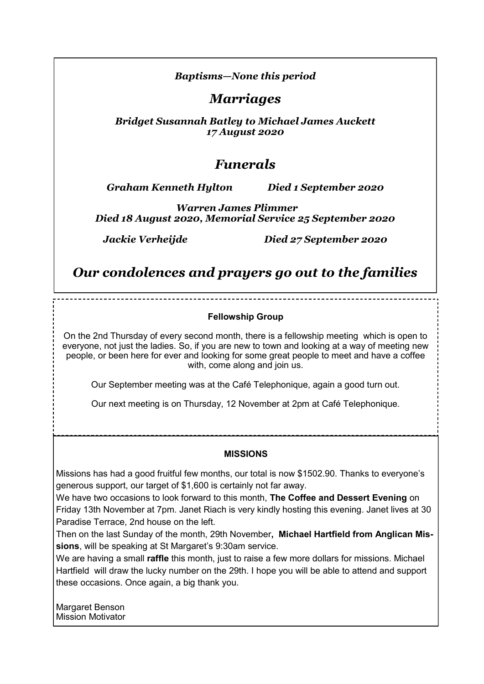## *Baptisms—None this period*

*Marriages*

*Bridget Susannah Batley to Michael James Auckett 17 August 2020*

# *Funerals*

*Graham Kenneth Hylton Died 1 September 2020*

*Warren James Plimmer Died 18 August 2020, Memorial Service 25 September 2020*

*Jackie Verheijde Died 27 September 2020*

*Our condolences and prayers go out to the families*

### **Fellowship Group**

On the 2nd Thursday of every second month, there is a fellowship meeting which is open to everyone, not just the ladies. So, if you are new to town and looking at a way of meeting new people, or been here for ever and looking for some great people to meet and have a coffee with, come along and join us.

Our September meeting was at the Café Telephonique, again a good turn out.

Our next meeting is on Thursday, 12 November at 2pm at Café Telephonique.

### **MISSIONS**

Missions has had a good fruitful few months, our total is now \$1502.90. Thanks to everyone's generous support, our target of \$1,600 is certainly not far away.

We have two occasions to look forward to this month, **The Coffee and Dessert Evening** on Friday 13th November at 7pm. Janet Riach is very kindly hosting this evening. Janet lives at 30 Paradise Terrace, 2nd house on the left.

Then on the last Sunday of the month, 29th November**, Michael Hartfield from Anglican Missions**, will be speaking at St Margaret's 9:30am service.

We are having a small **raffle** this month, just to raise a few more dollars for missions. Michael Hartfield will draw the lucky number on the 29th. I hope you will be able to attend and support these occasions. Once again, a big thank you.

Margaret Benson Mission Motivator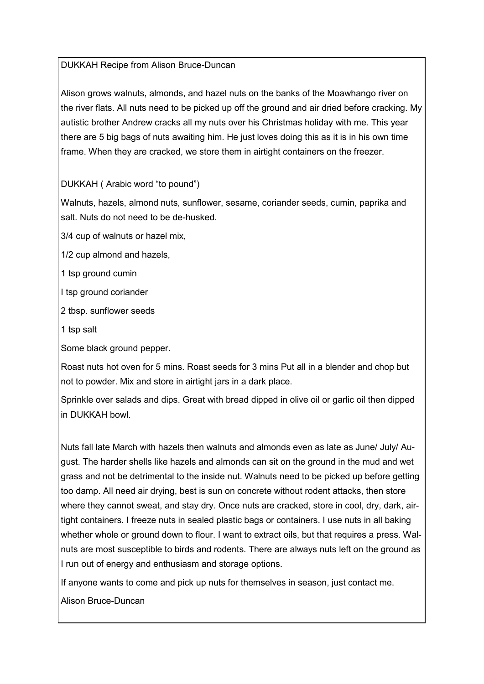## DUKKAH Recipe from Alison Bruce-Duncan

Alison grows walnuts, almonds, and hazel nuts on the banks of the Moawhango river on the river flats. All nuts need to be picked up off the ground and air dried before cracking. My autistic brother Andrew cracks all my nuts over his Christmas holiday with me. This year there are 5 big bags of nuts awaiting him. He just loves doing this as it is in his own time frame. When they are cracked, we store them in airtight containers on the freezer.

DUKKAH ( Arabic word "to pound")

Walnuts, hazels, almond nuts, sunflower, sesame, coriander seeds, cumin, paprika and salt. Nuts do not need to be de-husked.

3/4 cup of walnuts or hazel mix,

1/2 cup almond and hazels,

1 tsp ground cumin

I tsp ground coriander

2 tbsp. sunflower seeds

1 tsp salt

Some black ground pepper.

Roast nuts hot oven for 5 mins. Roast seeds for 3 mins Put all in a blender and chop but not to powder. Mix and store in airtight jars in a dark place.

Sprinkle over salads and dips. Great with bread dipped in olive oil or garlic oil then dipped in DUKKAH bowl.

Nuts fall late March with hazels then walnuts and almonds even as late as June/ July/ August. The harder shells like hazels and almonds can sit on the ground in the mud and wet grass and not be detrimental to the inside nut. Walnuts need to be picked up before getting too damp. All need air drying, best is sun on concrete without rodent attacks, then store where they cannot sweat, and stay dry. Once nuts are cracked, store in cool, dry, dark, airtight containers. I freeze nuts in sealed plastic bags or containers. I use nuts in all baking whether whole or ground down to flour. I want to extract oils, but that requires a press. Walnuts are most susceptible to birds and rodents. There are always nuts left on the ground as I run out of energy and enthusiasm and storage options.

If anyone wants to come and pick up nuts for themselves in season, just contact me.

Alison Bruce-Duncan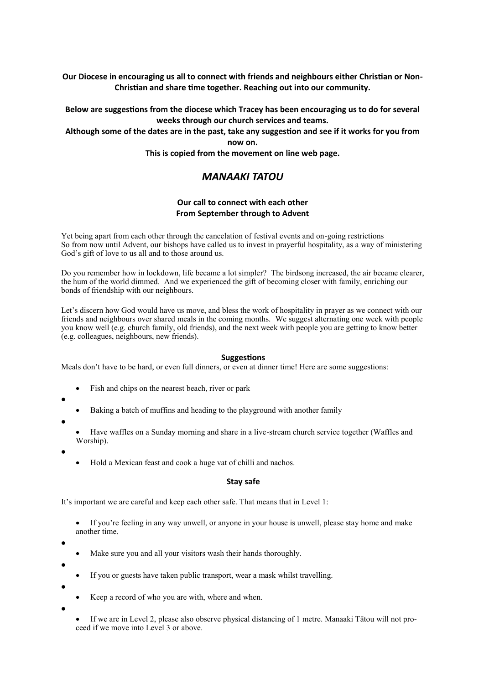**Our Diocese in encouraging us all to connect with friends and neighbours either Christian or Non-Christian and share time together. Reaching out into our community.**

#### **Below are suggestions from the diocese which Tracey has been encouraging us to do for several weeks through our church services and teams.**

#### **Although some of the dates are in the past, take any suggestion and see if it works for you from now on.**

**This is copied from the movement on line web page.**

## *MANAAKI TATOU*

#### **Our call to connect with each other From September through to Advent**

Yet being apart from each other through the cancelation of festival events and on-going restrictions So from now until Advent, our bishops have called us to invest in prayerful hospitality, as a way of ministering God's gift of love to us all and to those around us.

Do you remember how in lockdown, life became a lot simpler? The birdsong increased, the air became clearer, the hum of the world dimmed. And we experienced the gift of becoming closer with family, enriching our bonds of friendship with our neighbours.

Let's discern how God would have us move, and bless the work of hospitality in prayer as we connect with our friends and neighbours over shared meals in the coming months. We suggest alternating one week with people you know well (e.g. church family, old friends), and the next week with people you are getting to know better (e.g. colleagues, neighbours, new friends).

#### **Suggestions**

Meals don't have to be hard, or even full dinners, or even at dinner time! Here are some suggestions:

- Fish and chips on the nearest beach, river or park
- $\bullet$
- Baking a batch of muffins and heading to the playground with another family
- $\bullet$
- Have waffles on a Sunday morning and share in a live-stream church service together (Waffles and Worship).
- $\bullet$
- Hold a Mexican feast and cook a huge vat of chilli and nachos.

#### **Stay safe**

It's important we are careful and keep each other safe. That means that in Level 1:

- If you're feeling in any way unwell, or anyone in your house is unwell, please stay home and make another time.
- $\bullet$

 $\bullet$ 

- Make sure you and all your visitors wash their hands thoroughly.
- If you or guests have taken public transport, wear a mask whilst travelling.
- $\bullet$
- Keep a record of who you are with, where and when.
- $\bullet$
- If we are in Level 2, please also observe physical distancing of 1 metre. Manaaki Tātou will not proceed if we move into Level 3 or above.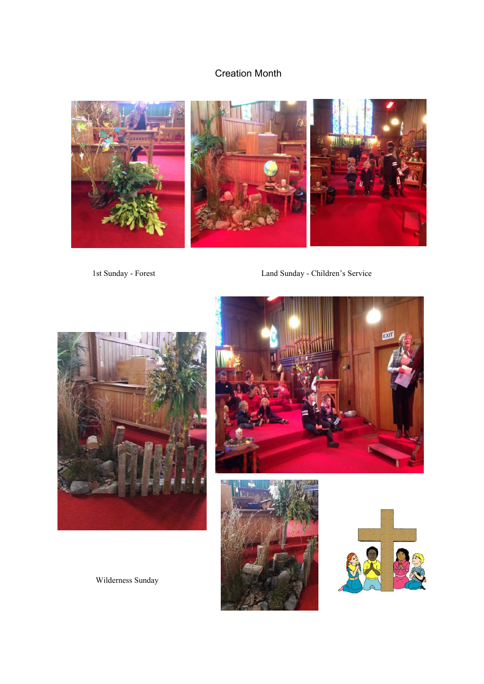# Creation Month



1st Sunday - Forest Land Sunday - Children's Service









Wilderness Sunday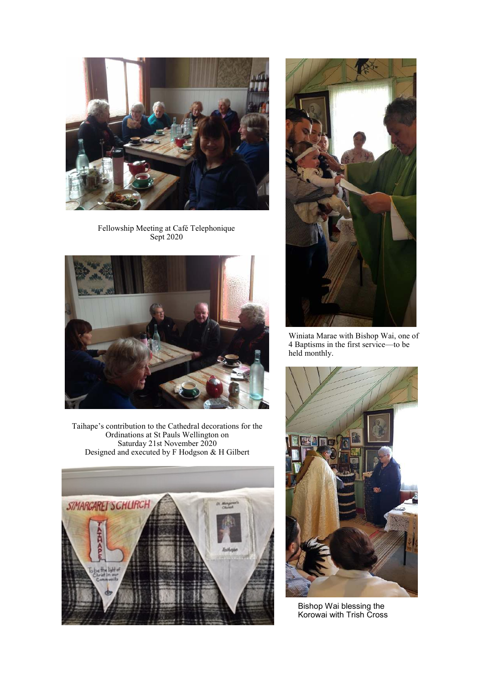

Fellowship Meeting at Café Telephonique Sept 2020



Taihape's contribution to the Cathedral decorations for the Ordinations at St Pauls Wellington on Saturday 21st November 2020 Designed and executed by F Hodgson & H Gilbert





Winiata Marae with Bishop Wai, one of 4 Baptisms in the first service—to be held monthly.



Bishop Wai blessing the Korowai with Trish Cross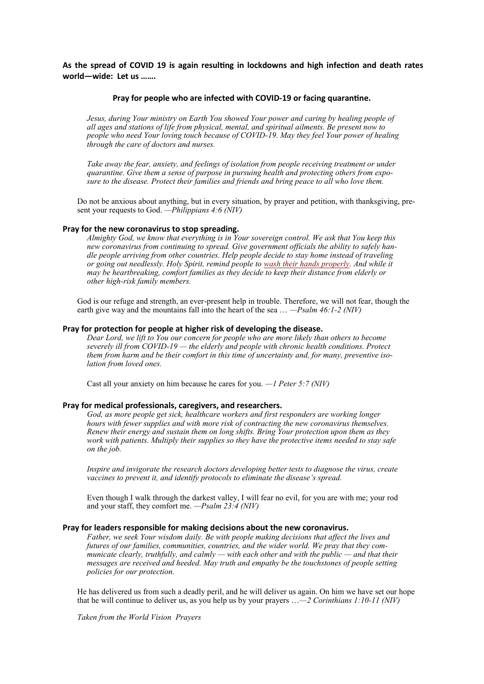**As the spread of COVID 19 is again resulting in lockdowns and high infection and death rates world—wide: Let us …….**

#### **Pray for people who are infected with COVID-19 or facing quarantine.**

*Jesus, during Your ministry on Earth You showed Your power and caring by healing people of all ages and stations of life from physical, mental, and spiritual ailments. Be present now to people who need Your loving touch because of COVID-19. May they feel Your power of healing through the care of doctors and nurses.*

*Take away the fear, anxiety, and feelings of isolation from people receiving treatment or under quarantine. Give them a sense of purpose in pursuing health and protecting others from exposure to the disease. Protect their families and friends and bring peace to all who love them.*

Do not be anxious about anything, but in every situation, by prayer and petition, with thanksgiving, present your requests to God. *—Philippians 4:6 (NIV)*

#### **Pray for the new coronavirus to stop spreading.**

*Almighty God, we know that everything is in Your sovereign control. We ask that You keep this new coronavirus from continuing to spread. Give government officials the ability to safely handle people arriving from other countries. Help people decide to stay home instead of traveling or going out needlessly. Holy Spirit, remind people to [wash their hands properly.](https://www.worldvision.org/clean-water-news-stories/how-to-wash-your-hands) And while it may be heartbreaking, comfort families as they decide to keep their distance from elderly or other high-risk family members.*

God is our refuge and strength, an ever-present help in trouble. Therefore, we will not fear, though the earth give way and the mountains fall into the heart of the sea … *—Psalm 46:1-2 (NIV)*

#### **Pray for protection for people at higher risk of developing the disease.**

*Dear Lord, we lift to You our concern for people who are more likely than others to become severely ill from COVID-19 — the elderly and people with chronic health conditions. Protect them from harm and be their comfort in this time of uncertainty and, for many, preventive isolation from loved ones.*

Cast all your anxiety on him because he cares for you. *—1 Peter 5:7 (NIV)*

#### **Pray for medical professionals, caregivers, and researchers.**

*God, as more people get sick, healthcare workers and first responders are working longer hours with fewer supplies and with more risk of contracting the new coronavirus themselves. Renew their energy and sustain them on long shifts. Bring Your protection upon them as they work with patients. Multiply their supplies so they have the protective items needed to stay safe on the job.*

*Inspire and invigorate the research doctors developing better tests to diagnose the virus, create vaccines to prevent it, and identify protocols to eliminate the disease's spread.*

Even though I walk through the darkest valley, I will fear no evil, for you are with me; your rod and your staff, they comfort me. *—Psalm 23:4 (NIV)*

#### **Pray for leaders responsible for making decisions about the new coronavirus.**

*Father, we seek Your wisdom daily. Be with people making decisions that affect the lives and futures of our families, communities, countries, and the wider world. We pray that they communicate clearly, truthfully, and calmly — with each other and with the public — and that their messages are received and heeded. May truth and empathy be the touchstones of people setting policies for our protection.*

He has delivered us from such a deadly peril, and he will deliver us again. On him we have set our hope that he will continue to deliver us, as you help us by your prayers …*—2 Corinthians 1:10-11 (NIV)*

*Taken from the World Vision Prayers*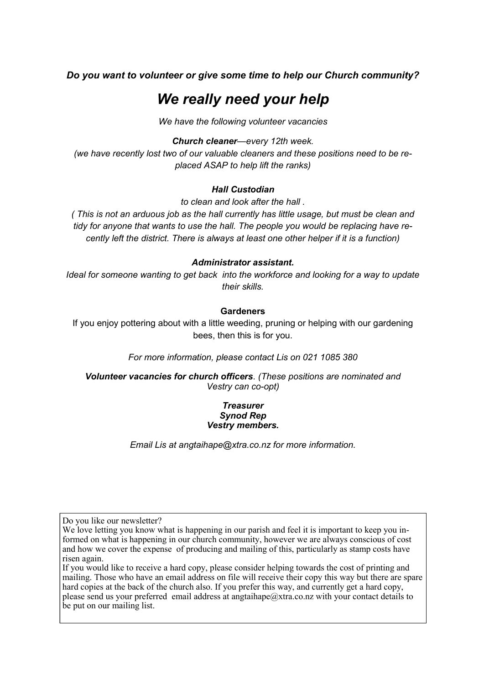## *Do you want to volunteer or give some time to help our Church community?*

# *We really need your help*

*We have the following volunteer vacancies*

#### *Church cleaner—every 12th week.*

*(we have recently lost two of our valuable cleaners and these positions need to be replaced ASAP to help lift the ranks)*

#### *Hall Custodian*

*to clean and look after the hall .*

*( This is not an arduous job as the hall currently has little usage, but must be clean and tidy for anyone that wants to use the hall. The people you would be replacing have recently left the district. There is always at least one other helper if it is a function)*

#### *Administrator assistant.*

*Ideal for someone wanting to get back into the workforce and looking for a way to update their skills.*

#### **Gardeners**

If you enjoy pottering about with a little weeding, pruning or helping with our gardening bees, then this is for you.

*For more information, please contact Lis on 021 1085 380*

*Volunteer vacancies for church officers. (These positions are nominated and Vestry can co-opt)* 

#### *Treasurer Synod Rep Vestry members.*

*Email Lis at angtaihape@xtra.co.nz for more information.*

Do you like our newsletter?

If you would like to receive a hard copy, please consider helping towards the cost of printing and mailing. Those who have an email address on file will receive their copy this way but there are spare hard copies at the back of the church also. If you prefer this way, and currently get a hard copy, please send us your preferred email address at angtaihape@xtra.co.nz with your contact details to be put on our mailing list.

We love letting you know what is happening in our parish and feel it is important to keep you informed on what is happening in our church community, however we are always conscious of cost and how we cover the expense of producing and mailing of this, particularly as stamp costs have risen again.